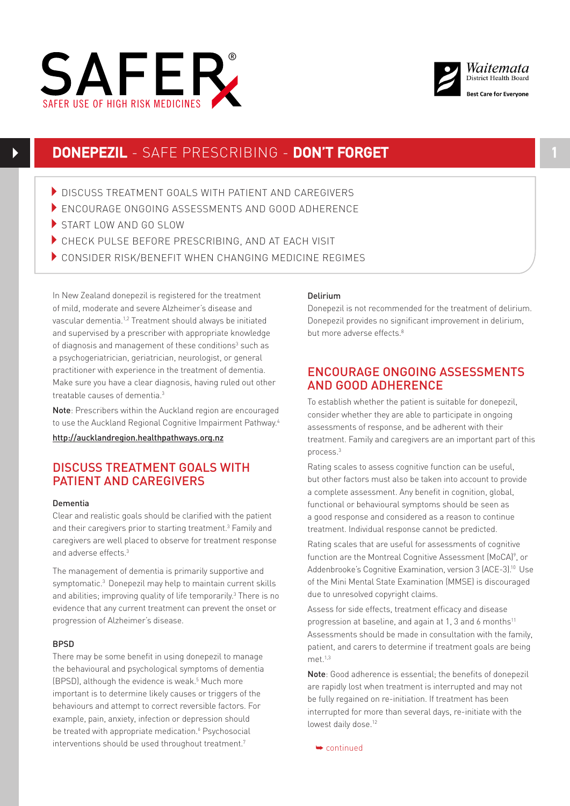



# **DONEPEZIL** - SAFE PRESCRIBING - **DON'T FORGET 1**

- **DISCUSS TREATMENT GOALS WITH PATIENT AND CAREGIVERS**
- ENCOURAGE ONGOING ASSESSMENTS AND GOOD ADHERENCE
- START LOW AND GO SLOW
- 4CHECK PULSE BEFORE PRESCRIBING, AND AT EACH VISIT
- CONSIDER RISK/BENEFIT WHEN CHANGING MEDICINE REGIMES

In New Zealand donepezil is registered for the treatment of mild, moderate and severe Alzheimer's disease and vascular dementia.1,2 Treatment should always be initiated and supervised by a prescriber with appropriate knowledge of diagnosis and management of these conditions<sup>3</sup> such as a psychogeriatrician, geriatrician, neurologist, or general practitioner with experience in the treatment of dementia. Make sure you have a clear diagnosis, having ruled out other treatable causes of dementia.<sup>3</sup>

Note: Prescribers within the Auckland region are encouraged to use the Auckland Regional Cognitive Impairment Pathway.<sup>4</sup>

http://aucklandregion.healthpathways.org.nz

# DISCUSS TREATMENT GOALS WITH PATIENT AND CAREGIVERS

#### Dementia

Clear and realistic goals should be clarified with the patient and their caregivers prior to starting treatment.<sup>3</sup> Family and caregivers are well placed to observe for treatment response and adverse effects.3

The management of dementia is primarily supportive and symptomatic.<sup>3</sup> Donepezil may help to maintain current skills and abilities; improving quality of life temporarily.<sup>3</sup> There is no evidence that any current treatment can prevent the onset or progression of Alzheimer's disease.

#### **BPSD**

There may be some benefit in using donepezil to manage the behavioural and psychological symptoms of dementia (BPSD), although the evidence is weak.<sup>5</sup> Much more important is to determine likely causes or triggers of the behaviours and attempt to correct reversible factors. For example, pain, anxiety, infection or depression should be treated with appropriate medication.<sup>6</sup> Psychosocial interventions should be used throughout treatment.<sup>7</sup>

#### Delirium

Donepezil is not recommended for the treatment of delirium. Donepezil provides no significant improvement in delirium, but more adverse effects 8

## ENCOURAGE ONGOING ASSESSMENTS AND GOOD ADHERENCE

To establish whether the patient is suitable for donepezil, consider whether they are able to participate in ongoing assessments of response, and be adherent with their treatment. Family and caregivers are an important part of this process.3

Rating scales to assess cognitive function can be useful, but other factors must also be taken into account to provide a complete assessment. Any benefit in cognition, global, functional or behavioural symptoms should be seen as a good response and considered as a reason to continue treatment. Individual response cannot be predicted.

Rating scales that are useful for assessments of cognitive function are the Montreal Cognitive Assessment (MoCA)<sup>9</sup>, or Addenbrooke's Cognitive Examination, version 3 (ACE-3).<sup>10</sup> Use of the Mini Mental State Examination (MMSE) is discouraged due to unresolved copyright claims.

Assess for side effects, treatment efficacy and disease progression at baseline, and again at 1, 3 and 6 months<sup>11</sup> Assessments should be made in consultation with the family, patient, and carers to determine if treatment goals are being met.1,3

Note: Good adherence is essential; the benefits of donepezil are rapidly lost when treatment is interrupted and may not be fully regained on re-initiation. If treatment has been interrupted for more than several days, re-initiate with the lowest daily dose.<sup>12</sup>

➥ continued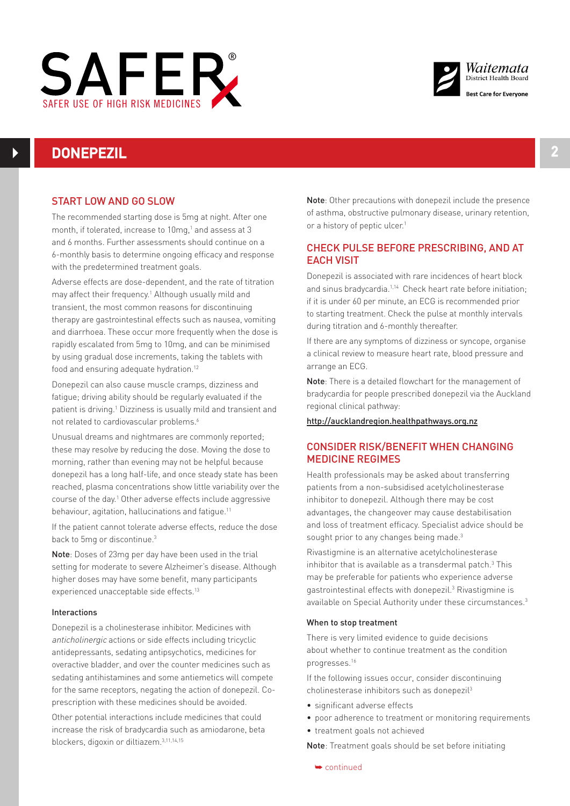



## START LOW AND GO SLOW

**DONEPEZIL 2**

The recommended starting dose is 5mg at night. After one month, if tolerated, increase to  $10$ mg, $1$  and assess at  $3$ and 6 months. Further assessments should continue on a 6-monthly basis to determine ongoing efficacy and response with the predetermined treatment goals.

Adverse effects are dose-dependent, and the rate of titration may affect their frequency.<sup>1</sup> Although usually mild and transient, the most common reasons for discontinuing therapy are gastrointestinal effects such as nausea, vomiting and diarrhoea. These occur more frequently when the dose is rapidly escalated from 5mg to 10mg, and can be minimised by using gradual dose increments, taking the tablets with food and ensuring adequate hydration.<sup>12</sup>

Donepezil can also cause muscle cramps, dizziness and fatigue; driving ability should be regularly evaluated if the patient is driving.<sup>1</sup> Dizziness is usually mild and transient and not related to cardiovascular problems.<sup>6</sup>

Unusual dreams and nightmares are commonly reported; these may resolve by reducing the dose. Moving the dose to morning, rather than evening may not be helpful because donepezil has a long half-life, and once steady state has been reached, plasma concentrations show little variability over the course of the day.<sup>1</sup> Other adverse effects include aggressive behaviour, agitation, hallucinations and fatigue.<sup>11</sup>

If the patient cannot tolerate adverse effects, reduce the dose back to 5mg or discontinue.3

Note: Doses of 23mg per day have been used in the trial setting for moderate to severe Alzheimer's disease. Although higher doses may have some benefit, many participants experienced unacceptable side effects.<sup>13</sup>

#### Interactions

Donepezil is a cholinesterase inhibitor. Medicines with anticholinergic actions or side effects including tricyclic antidepressants, sedating antipsychotics, medicines for overactive bladder, and over the counter medicines such as sedating antihistamines and some antiemetics will compete for the same receptors, negating the action of donepezil. Coprescription with these medicines should be avoided.

Other potential interactions include medicines that could increase the risk of bradycardia such as amiodarone, beta blockers, digoxin or diltiazem.3,11,14,15

Note: Other precautions with donepezil include the presence of asthma, obstructive pulmonary disease, urinary retention, or a history of peptic ulcer.<sup>1</sup>

## CHECK PULSE BEFORE PRESCRIBING, AND AT EACH VISIT

Donepezil is associated with rare incidences of heart block and sinus bradycardia.<sup>1,14</sup> Check heart rate before initiation; if it is under 60 per minute, an ECG is recommended prior to starting treatment. Check the pulse at monthly intervals during titration and 6-monthly thereafter.

If there are any symptoms of dizziness or syncope, organise a clinical review to measure heart rate, blood pressure and arrange an ECG.

Note: There is a detailed flowchart for the management of bradycardia for people prescribed donepezil via the Auckland regional clinical pathway:

http://aucklandregion.healthpathways.org.nz

## CONSIDER RISK/BENEFIT WHEN CHANGING MEDICINE REGIMES

Health professionals may be asked about transferring patients from a non-subsidised acetylcholinesterase inhibitor to donepezil. Although there may be cost advantages, the changeover may cause destabilisation and loss of treatment efficacy. Specialist advice should be sought prior to any changes being made.<sup>3</sup>

Rivastigmine is an alternative acetylcholinesterase inhibitor that is available as a transdermal patch. $3$  This may be preferable for patients who experience adverse gastrointestinal effects with donepezil.3 Rivastigmine is available on Special Authority under these circumstances.<sup>3</sup>

#### When to stop treatment

There is very limited evidence to guide decisions about whether to continue treatment as the condition progresses.16

If the following issues occur, consider discontinuing cholinesterase inhibitors such as donepezil<sup>3</sup>

- significant adverse effects
- poor adherence to treatment or monitoring requirements
- treatment goals not achieved

Note: Treatment goals should be set before initiating

➥ continued